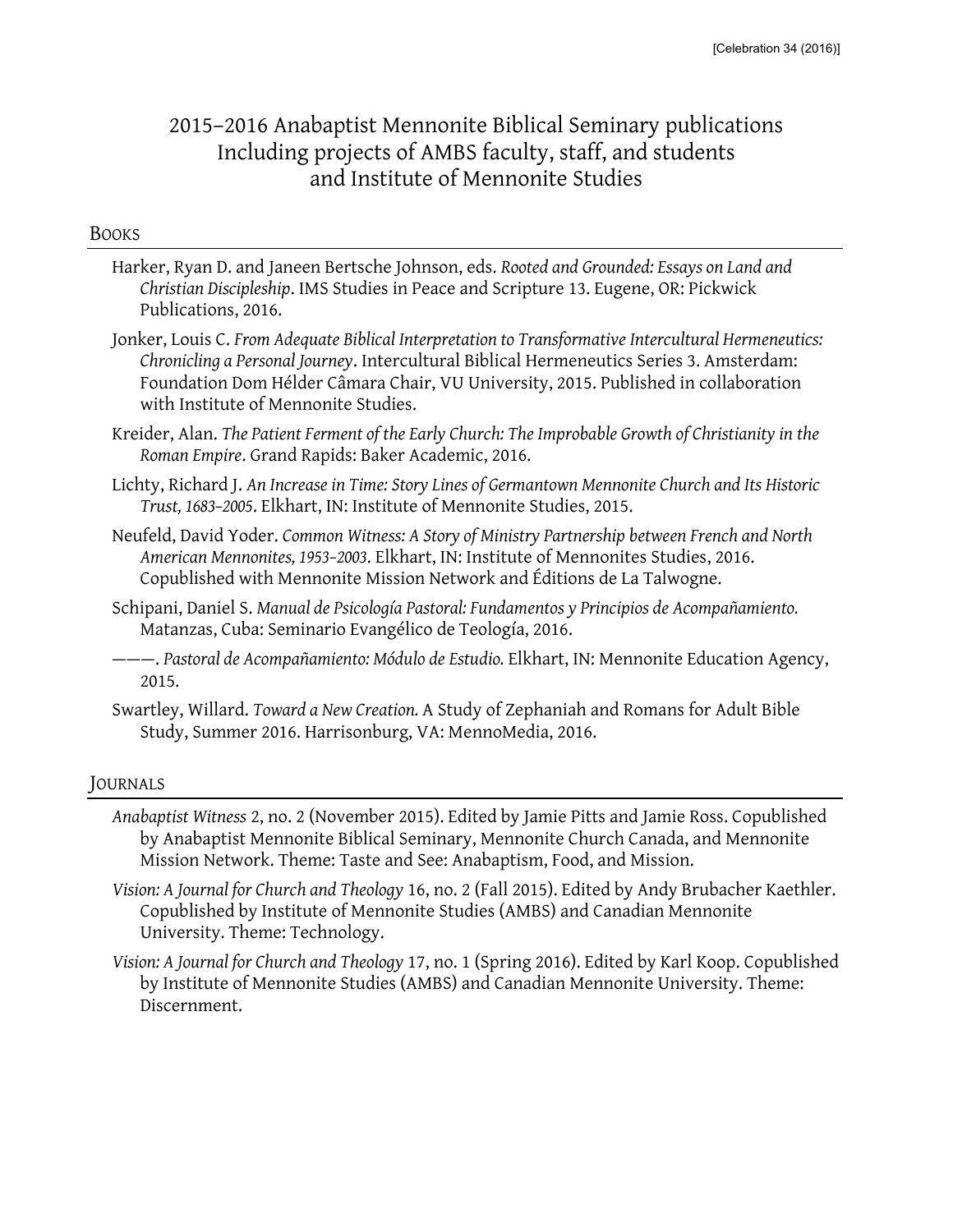# 2015–2016 Anabaptist Mennonite Biblical Seminary publications Including projects of AMBS faculty, staff, and students and Institute of Mennonite Studies

#### **BOOKS**

- Harker, Ryan D. and Janeen Bertsche Johnson, eds. *Rooted and Grounded: Essays on Land and Christian Discipleship*. IMS Studies in Peace and Scripture 13. Eugene, OR: Pickwick Publications, 2016.
- Jonker, Louis C. *From Adequate Biblical Interpretation to Transformative Intercultural Hermeneutics: Chronicling a Personal Journey*. Intercultural Biblical Hermeneutics Series 3. Amsterdam: Foundation Dom Hélder Câmara Chair, VU University, 2015. Published in collaboration with Institute of Mennonite Studies.
- Kreider, Alan. *The Patient Ferment of the Early Church: The Improbable Growth of Christianity in the Roman Empire*. Grand Rapids: Baker Academic, 2016.
- Lichty, Richard J. *An Increase in Time: Story Lines of Germantown Mennonite Church and Its Historic Trust, 1683–2005*. Elkhart, IN: Institute of Mennonite Studies, 2015.
- Neufeld, David Yoder. *Common Witness: A Story of Ministry Partnership between French and North American Mennonites, 1953–2003*. Elkhart, IN: Institute of Mennonites Studies, 2016. Copublished with Mennonite Mission Network and Éditions de La Talwogne.
- Schipani, Daniel S. *Manual de Psicología Pastoral: Fundamentos y Principios de Acompañamiento.*  Matanzas, Cuba: Seminario Evangélico de Teología, 2016.
- ———. *Pastoral de Acompañamiento: Módulo de Estudio.* Elkhart, IN: Mennonite Education Agency, 2015.
- Swartley, Willard. *Toward a New Creation.* A Study of Zephaniah and Romans for Adult Bible Study, Summer 2016. Harrisonburg, VA: MennoMedia, 2016.

## JOURNALS

- *Anabaptist Witness* 2, no. 2 (November 2015). Edited by Jamie Pitts and Jamie Ross. Copublished by Anabaptist Mennonite Biblical Seminary, Mennonite Church Canada, and Mennonite Mission Network. Theme: Taste and See: Anabaptism, Food, and Mission.
- *Vision: A Journal for Church and Theology* 16, no. 2 (Fall 2015). Edited by Andy Brubacher Kaethler. Copublished by Institute of Mennonite Studies (AMBS) and Canadian Mennonite University. Theme: Technology.
- *Vision: A Journal for Church and Theology* 17, no. 1 (Spring 2016). Edited by Karl Koop. Copublished by Institute of Mennonite Studies (AMBS) and Canadian Mennonite University. Theme: Discernment.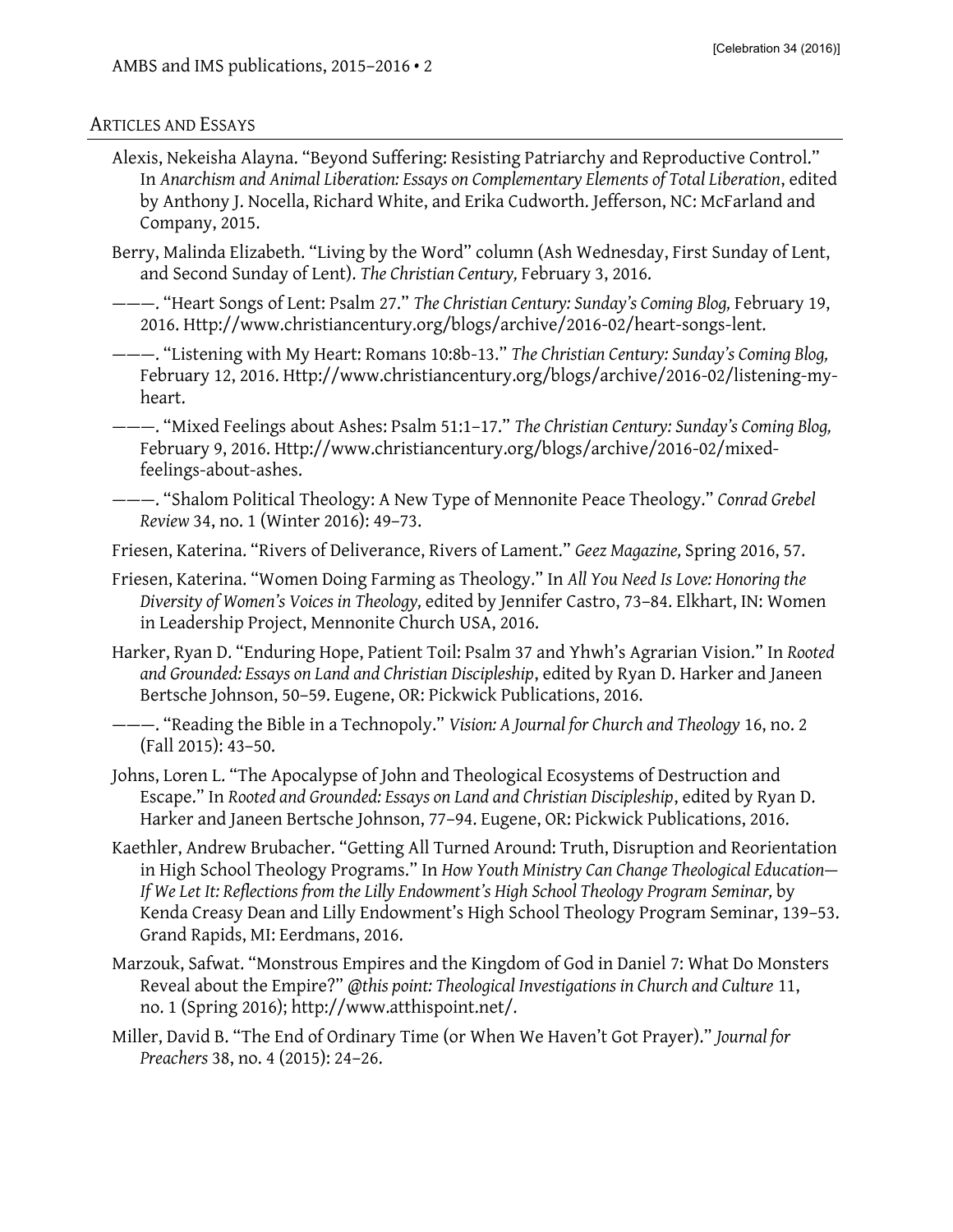### ARTICLES AND ESSAYS

Alexis, Nekeisha Alayna. "Beyond Suffering: Resisting Patriarchy and Reproductive Control." In *Anarchism and Animal Liberation: Essays on Complementary Elements of Total Liberation*, edited by Anthony J. Nocella, Richard White, and Erika Cudworth. Jefferson, NC: McFarland and Company, 2015.

Berry, Malinda Elizabeth. "Living by the Word" column (Ash Wednesday, First Sunday of Lent, and Second Sunday of Lent). *The Christian Century,* February 3, 2016.

———. "Heart Songs of Lent: Psalm 27." *The Christian Century: Sunday's Coming Blog,* February 19, 2016. Http://www.christiancentury.org/blogs/archive/2016-02/heart-songs-lent.

———. "Listening with My Heart: Romans 10:8b-13." *The Christian Century: Sunday's Coming Blog,*  February 12, 2016. Http://www.christiancentury.org/blogs/archive/2016-02/listening-myheart.

———. "Mixed Feelings about Ashes: Psalm 51:1–17." *The Christian Century: Sunday's Coming Blog,*  February 9, 2016. Http://www.christiancentury.org/blogs/archive/2016-02/mixedfeelings-about-ashes.

———. "Shalom Political Theology: A New Type of Mennonite Peace Theology." *Conrad Grebel Review* 34, no. 1 (Winter 2016): 49–73.

Friesen, Katerina. "Rivers of Deliverance, Rivers of Lament." *Geez Magazine,* Spring 2016, 57.

Friesen, Katerina. "Women Doing Farming as Theology." In *All You Need Is Love: Honoring the Diversity of Women's Voices in Theology,* edited by Jennifer Castro, 73–84. Elkhart, IN: Women in Leadership Project, Mennonite Church USA, 2016.

Harker, Ryan D. "Enduring Hope, Patient Toil: Psalm 37 and Yhwh's Agrarian Vision." In *Rooted and Grounded: Essays on Land and Christian Discipleship*, edited by Ryan D. Harker and Janeen Bertsche Johnson, 50–59. Eugene, OR: Pickwick Publications, 2016.

———. "Reading the Bible in a Technopoly." *Vision: A Journal for Church and Theology* 16, no. 2 (Fall 2015): 43–50.

Johns, Loren L. "The Apocalypse of John and Theological Ecosystems of Destruction and Escape." In *Rooted and Grounded: Essays on Land and Christian Discipleship*, edited by Ryan D. Harker and Janeen Bertsche Johnson, 77–94. Eugene, OR: Pickwick Publications, 2016.

- Kaethler, Andrew Brubacher. "Getting All Turned Around: Truth, Disruption and Reorientation in High School Theology Programs." In *How Youth Ministry Can Change Theological Education— If We Let It: Reflections from the Lilly Endowment's High School Theology Program Seminar,* by Kenda Creasy Dean and Lilly Endowment's High School Theology Program Seminar, 139–53. Grand Rapids, MI: Eerdmans, 2016.
- Marzouk, Safwat. "Monstrous Empires and the Kingdom of God in Daniel 7: What Do Monsters Reveal about the Empire?" *@this point: Theological Investigations in Church and Culture* 11, no. 1 (Spring 2016); http://www.atthispoint.net/.
- Miller, David B. "The End of Ordinary Time (or When We Haven't Got Prayer)." *Journal for Preachers* 38, no. 4 (2015): 24–26.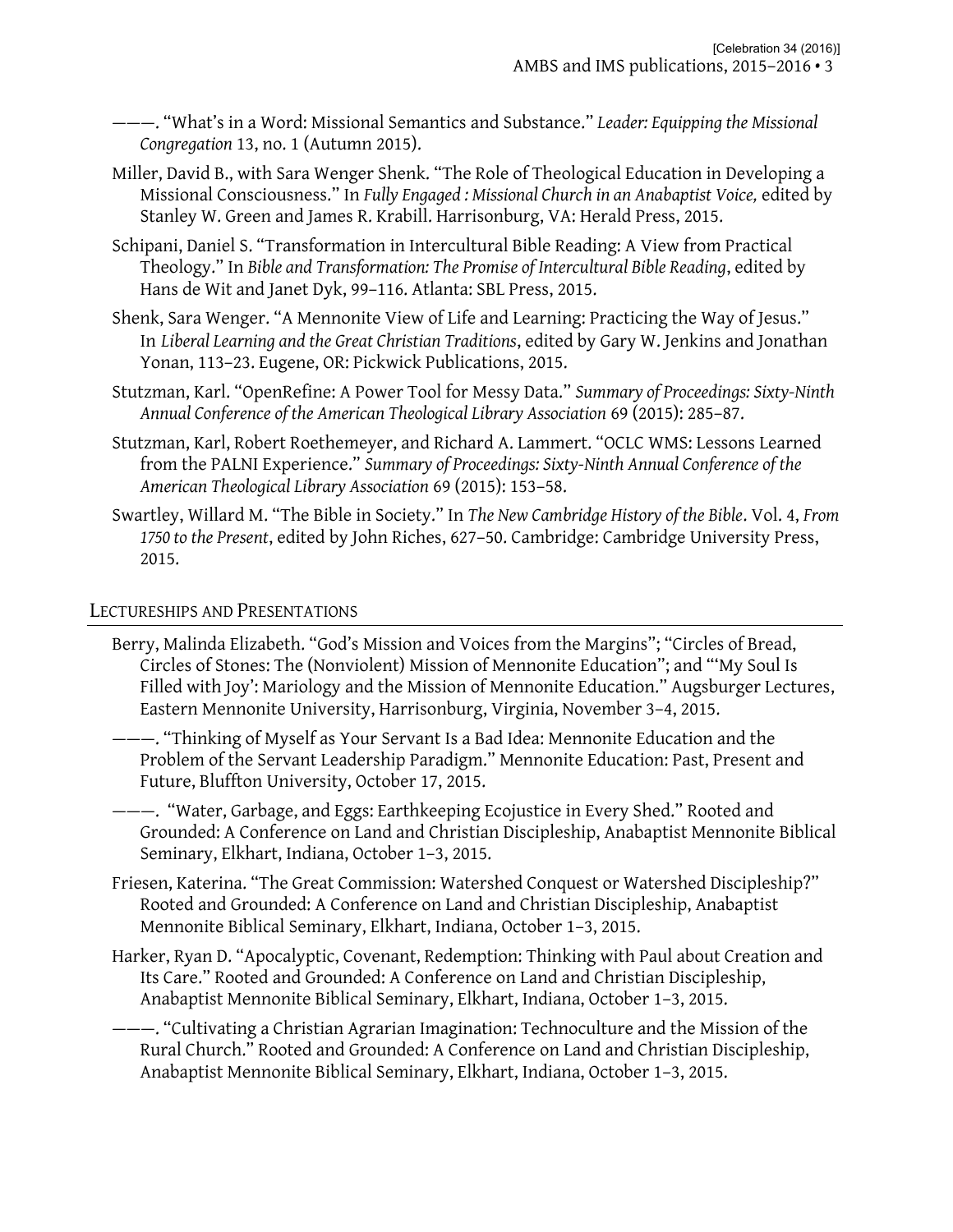———. "What's in a Word: Missional Semantics and Substance." *Leader: Equipping the Missional Congregation* 13, no. 1 (Autumn 2015).

- Miller, David B., with Sara Wenger Shenk. "The Role of Theological Education in Developing a Missional Consciousness." In *Fully Engaged : Missional Church in an Anabaptist Voice,* edited by Stanley W. Green and James R. Krabill. Harrisonburg, VA: Herald Press, 2015.
- Schipani, Daniel S. "Transformation in Intercultural Bible Reading: A View from Practical Theology." In *Bible and Transformation: The Promise of Intercultural Bible Reading*, edited by Hans de Wit and Janet Dyk, 99–116. Atlanta: SBL Press, 2015.
- Shenk, Sara Wenger. "A Mennonite View of Life and Learning: Practicing the Way of Jesus." In *Liberal Learning and the Great Christian Traditions*, edited by Gary W. Jenkins and Jonathan Yonan, 113–23. Eugene, OR: Pickwick Publications, 2015.
- Stutzman, Karl. "OpenRefine: A Power Tool for Messy Data." *Summary of Proceedings: Sixty-Ninth Annual Conference of the American Theological Library Association* 69 (2015): 285–87.
- Stutzman, Karl, Robert Roethemeyer, and Richard A. Lammert. "OCLC WMS: Lessons Learned from the PALNI Experience." *Summary of Proceedings: Sixty-Ninth Annual Conference of the American Theological Library Association* 69 (2015): 153–58.
- Swartley, Willard M. "The Bible in Society." In *The New Cambridge History of the Bible*. Vol. 4, *From 1750 to the Present*, edited by John Riches, 627–50. Cambridge: Cambridge University Press, 2015.

# LECTURESHIPS AND PRESENTATIONS

- Berry, Malinda Elizabeth. "God's Mission and Voices from the Margins"; "Circles of Bread, Circles of Stones: The (Nonviolent) Mission of Mennonite Education"; and "'My Soul Is Filled with Joy': Mariology and the Mission of Mennonite Education." Augsburger Lectures, Eastern Mennonite University, Harrisonburg, Virginia, November 3–4, 2015.
- ———. "Thinking of Myself as Your Servant Is a Bad Idea: Mennonite Education and the Problem of the Servant Leadership Paradigm." Mennonite Education: Past, Present and Future, Bluffton University, October 17, 2015.
- ———. "Water, Garbage, and Eggs: Earthkeeping Ecojustice in Every Shed." Rooted and Grounded: A Conference on Land and Christian Discipleship, Anabaptist Mennonite Biblical Seminary, Elkhart, Indiana, October 1–3, 2015.
- Friesen, Katerina. "The Great Commission: Watershed Conquest or Watershed Discipleship?" Rooted and Grounded: A Conference on Land and Christian Discipleship, Anabaptist Mennonite Biblical Seminary, Elkhart, Indiana, October 1–3, 2015.
- Harker, Ryan D. "Apocalyptic, Covenant, Redemption: Thinking with Paul about Creation and Its Care." Rooted and Grounded: A Conference on Land and Christian Discipleship, Anabaptist Mennonite Biblical Seminary, Elkhart, Indiana, October 1–3, 2015.
- ———. "Cultivating a Christian Agrarian Imagination: Technoculture and the Mission of the Rural Church." Rooted and Grounded: A Conference on Land and Christian Discipleship, Anabaptist Mennonite Biblical Seminary, Elkhart, Indiana, October 1–3, 2015.